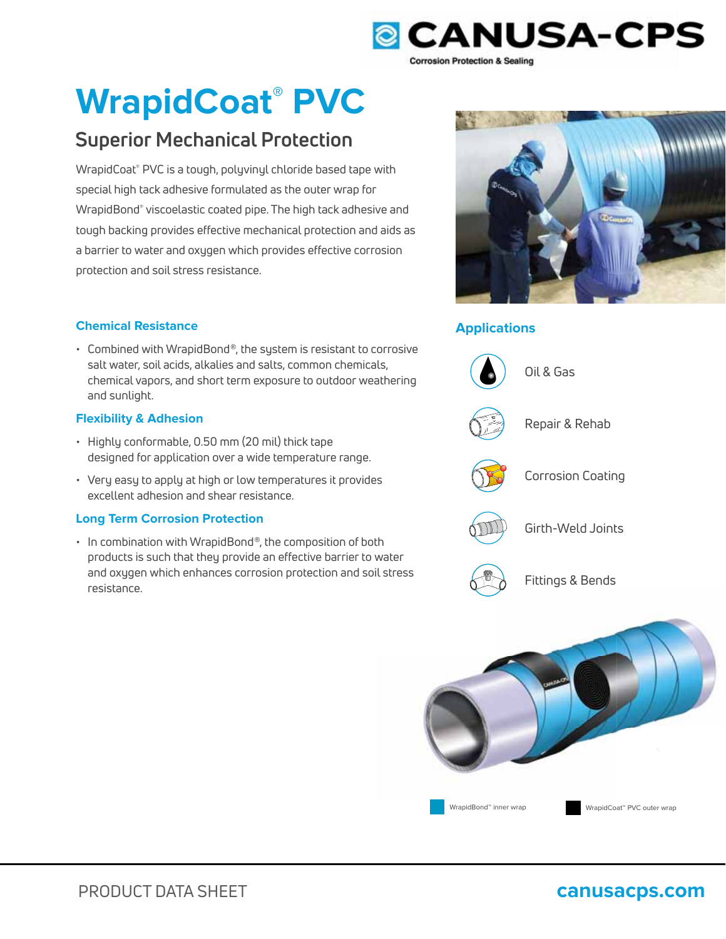

# **WrapidCoat® PVC**

## **Superior Mechanical Protection**

WrapidCoat® PVC is a tough, polyvinyl chloride based tape with special high tack adhesive formulated as the outer wrap for WrapidBond® viscoelastic coated pipe. The high tack adhesive and tough backing provides effective mechanical protection and aids as a barrier to water and oxygen which provides effective corrosion protection and soil stress resistance.

### **Chemical Resistance Applications**

• Combined with WrapidBond®, the system is resistant to corrosive salt water, soil acids, alkalies and salts, common chemicals, chemical vapors, and short term exposure to outdoor weathering and sunlight.

### **Flexibility & Adhesion**

- Highly conformable, 0.50 mm (20 mil) thick tape designed for application over a wide temperature range.
- Very easy to apply at high or low temperatures it provides excellent adhesion and shear resistance.

### **Long Term Corrosion Protection**

• In combination with WrapidBond®, the composition of both products is such that they provide an effective barrier to water and oxygen which enhances corrosion protection and soil stress resistance.